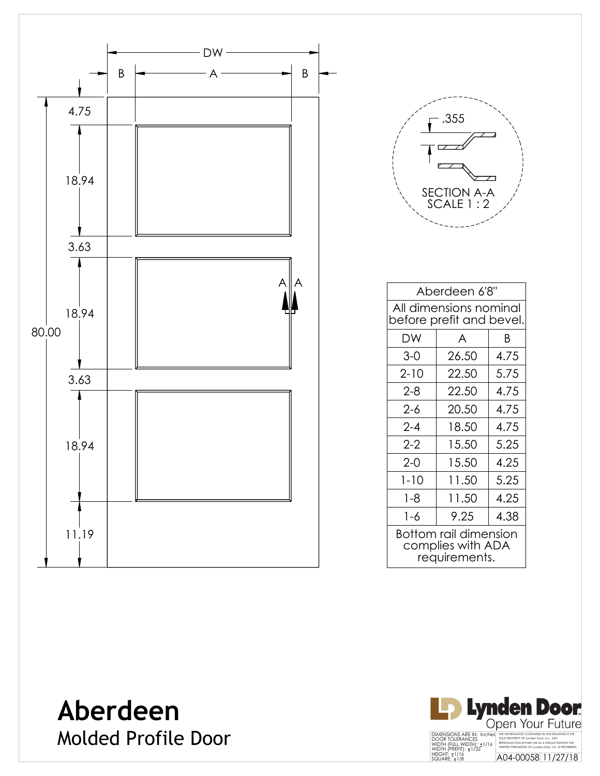



| Aberdeen 6'8"                                               |       |      |  |  |  |
|-------------------------------------------------------------|-------|------|--|--|--|
| All dimensions nominal<br>before prefit and bevel.          |       |      |  |  |  |
| DW                                                          | A     | B    |  |  |  |
| 3-0                                                         | 26.50 | 4.75 |  |  |  |
| $2 - 10$                                                    | 22.50 | 5.75 |  |  |  |
| $2-8$                                                       | 22.50 | 4.75 |  |  |  |
| 2-6                                                         | 20.50 | 4.75 |  |  |  |
| $2 - 4$                                                     | 18.50 | 4.75 |  |  |  |
| $2-2$                                                       | 15.50 | 5.25 |  |  |  |
| $2-0$                                                       | 15.50 | 4.25 |  |  |  |
| $1 - 10$                                                    | 11.50 | 5.25 |  |  |  |
| $1 - 8$                                                     | 11.50 | 4.25 |  |  |  |
| 1-6                                                         | 9.25  | 4.38 |  |  |  |
| Bottom rail dimension<br>complies with ADA<br>requirements. |       |      |  |  |  |

**Aberdeen** Molded Profile Door

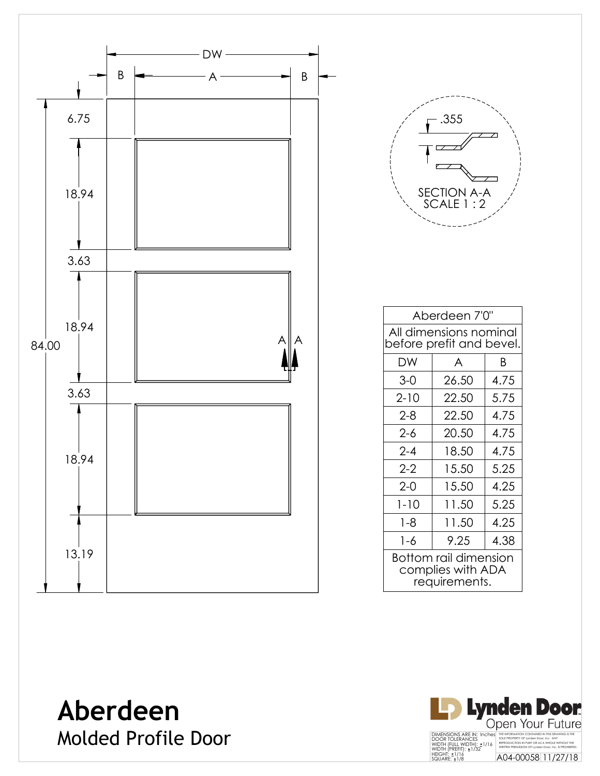



| Aberdeen 7'0"                                               |       |      |  |  |
|-------------------------------------------------------------|-------|------|--|--|
| All dimensions nominal<br>before prefit and bevel.          |       |      |  |  |
| DW                                                          | A     | B    |  |  |
| $3-0$                                                       | 26.50 | 4.75 |  |  |
| $2 - 10$                                                    | 22.50 | 5.75 |  |  |
| $2 - 8$                                                     | 22.50 | 4.75 |  |  |
| 2-6                                                         | 20.50 | 4.75 |  |  |
| $2 - 4$                                                     | 18.50 | 4.75 |  |  |
| $2 - 2$                                                     | 15.50 | 5.25 |  |  |
| $2 - 0$                                                     | 15.50 | 4.25 |  |  |
| $1 - 10$                                                    | 11.50 | 5.25 |  |  |
| 1-8                                                         | 11.50 | 4.25 |  |  |
| 1-6                                                         | 9.25  | 4.38 |  |  |
| Bottom rail dimension<br>complies with ADA<br>requirements. |       |      |  |  |

**Aberdeen** Molded Profile Door

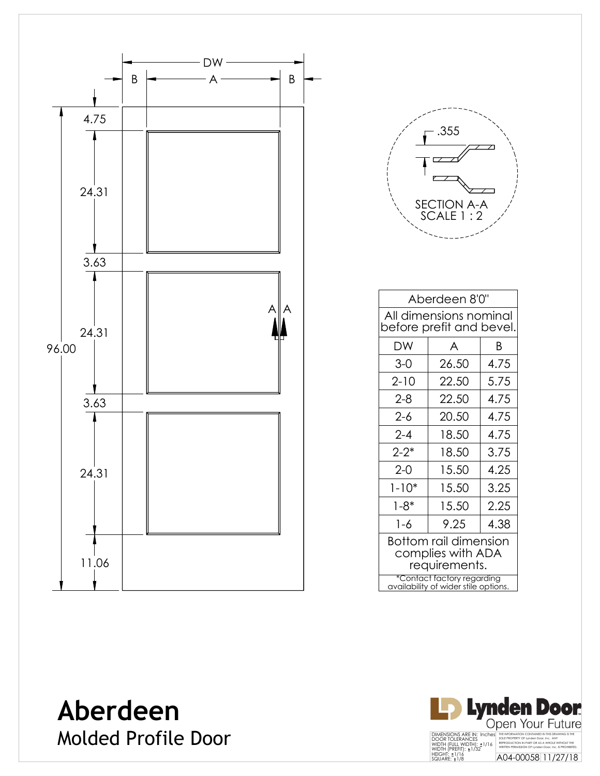



| Aberdeen 8'0"                                                      |       |      |  |  |
|--------------------------------------------------------------------|-------|------|--|--|
| All dimensions nominal<br>before prefit and bevel.                 |       |      |  |  |
| DW                                                                 | A     | Β    |  |  |
| $3-0$                                                              | 26.50 | 4.75 |  |  |
| $2 - 10$                                                           | 22.50 | 5.75 |  |  |
| $2 - 8$                                                            | 22.50 | 4.75 |  |  |
| $2 - 6$                                                            | 20.50 | 4.75 |  |  |
| $2 - 4$                                                            | 18.50 | 4.75 |  |  |
| $2 - 2^*$                                                          | 18.50 | 3.75 |  |  |
| $2-0$                                                              | 15.50 | 4.25 |  |  |
| $1 - 10*$                                                          | 15.50 | 3.25 |  |  |
| $1 - 8*$                                                           | 15.50 | 2.25 |  |  |
| 1-6                                                                | 9.25  | 4.38 |  |  |
| Bottom rail dimension<br>complies with ADA<br>requirements.        |       |      |  |  |
| *Contact factory regarding<br>availability of wider stile options. |       |      |  |  |

**Aberdeen** Molded Profile Door